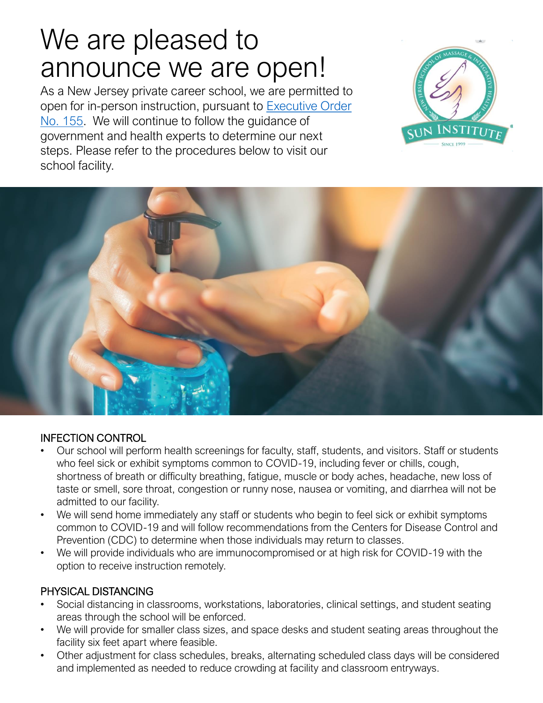# We are pleased to announce we are open!

As a New Jersey private career school, we are permitted to [open for in-person instruction, pursuant to Executive Order](https://nj.gov/infobank/eo/056murphy/pdf/EO-155.pdf)  No. 155. We will continue to follow the guidance of government and health experts to determine our next steps. Please refer to the procedures below to visit our school facility.





#### INFECTION CONTROL

- Our school will perform health screenings for faculty, staff, students, and visitors. Staff or students who feel sick or exhibit symptoms common to COVID-19, including fever or chills, cough, shortness of breath or difficulty breathing, fatigue, muscle or body aches, headache, new loss of taste or smell, sore throat, congestion or runny nose, nausea or vomiting, and diarrhea will not be admitted to our facility.
- We will send home immediately any staff or students who begin to feel sick or exhibit symptoms common to COVID-19 and will follow recommendations from the Centers for Disease Control and Prevention (CDC) to determine when those individuals may return to classes.
- We will provide individuals who are immunocompromised or at high risk for COVID-19 with the option to receive instruction remotely.

#### PHYSICAL DISTANCING

- Social distancing in classrooms, workstations, laboratories, clinical settings, and student seating areas through the school will be enforced.
- We will provide for smaller class sizes, and space desks and student seating areas throughout the facility six feet apart where feasible.
- Other adjustment for class schedules, breaks, alternating scheduled class days will be considered and implemented as needed to reduce crowding at facility and classroom entryways.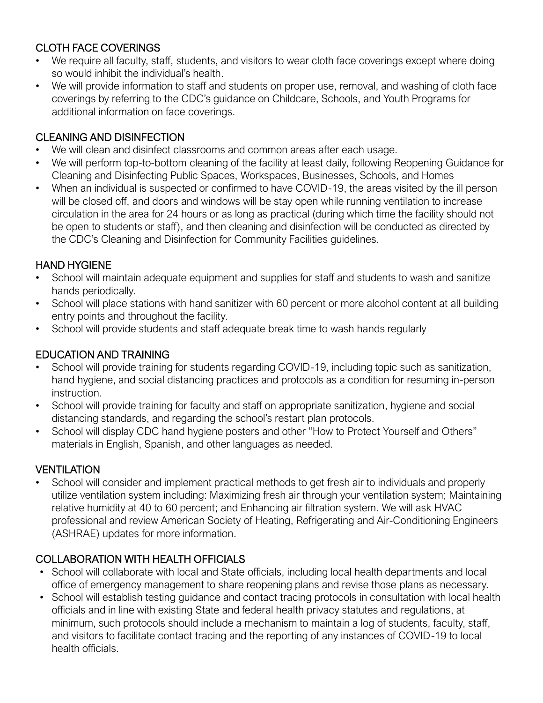# CLOTH FACE COVERINGS

- We require all faculty, staff, students, and visitors to wear cloth face coverings except where doing so would inhibit the individual's health.
- We will provide information to staff and students on proper use, removal, and washing of cloth face coverings by referring to the CDC's guidance on Childcare, Schools, and Youth Programs for additional information on face coverings.

## CLEANING AND DISINFECTION

- We will clean and disinfect classrooms and common areas after each usage.
- We will perform top-to-bottom cleaning of the facility at least daily, following Reopening Guidance for Cleaning and Disinfecting Public Spaces, Workspaces, Businesses, Schools, and Homes
- When an individual is suspected or confirmed to have COVID-19, the areas visited by the ill person will be closed off, and doors and windows will be stay open while running ventilation to increase circulation in the area for 24 hours or as long as practical (during which time the facility should not be open to students or staff), and then cleaning and disinfection will be conducted as directed by the CDC's Cleaning and Disinfection for Community Facilities guidelines.

## HAND HYGIENE

- School will maintain adequate equipment and supplies for staff and students to wash and sanitize hands periodically.
- School will place stations with hand sanitizer with 60 percent or more alcohol content at all building entry points and throughout the facility.
- School will provide students and staff adequate break time to wash hands regularly

#### EDUCATION AND TRAINING

- School will provide training for students regarding COVID-19, including topic such as sanitization, hand hygiene, and social distancing practices and protocols as a condition for resuming in-person instruction.
- School will provide training for faculty and staff on appropriate sanitization, hygiene and social distancing standards, and regarding the school's restart plan protocols.
- School will display CDC hand hygiene posters and other "How to Protect Yourself and Others" materials in English, Spanish, and other languages as needed.

## **VENTILATION**

• School will consider and implement practical methods to get fresh air to individuals and properly utilize ventilation system including: Maximizing fresh air through your ventilation system; Maintaining relative humidity at 40 to 60 percent; and Enhancing air filtration system. We will ask HVAC professional and review American Society of Heating, Refrigerating and Air-Conditioning Engineers (ASHRAE) updates for more information.

## COLLABORATION WITH HEALTH OFFICIALS

- School will collaborate with local and State officials, including local health departments and local office of emergency management to share reopening plans and revise those plans as necessary.
- School will establish testing guidance and contact tracing protocols in consultation with local health officials and in line with existing State and federal health privacy statutes and regulations, at minimum, such protocols should include a mechanism to maintain a log of students, faculty, staff, and visitors to facilitate contact tracing and the reporting of any instances of COVID-19 to local health officials.